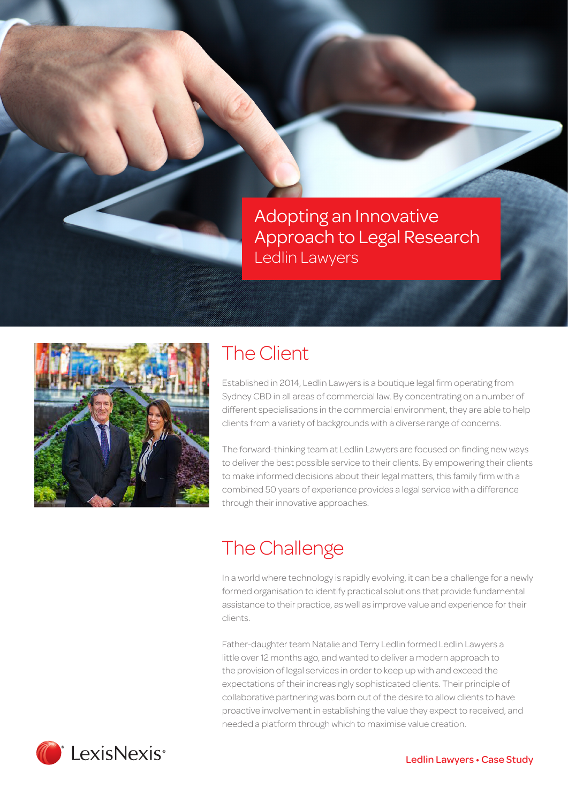Adopting an Innovative Approach to Legal Research Ledlin Lawyers



### The Client

Established in 2014, Ledlin Lawyers is a boutique legal firm operating from Sydney CBD in all areas of commercial law. By concentrating on a number of different specialisations in the commercial environment, they are able to help clients from a variety of backgrounds with a diverse range of concerns.

The forward-thinking team at Ledlin Lawyers are focused on finding new ways to deliver the best possible service to their clients. By empowering their clients to make informed decisions about their legal matters, this family firm with a combined 50 years of experience provides a legal service with a difference through their innovative approaches.

### The Challenge

In a world where technology is rapidly evolving, it can be a challenge for a newly formed organisation to identify practical solutions that provide fundamental assistance to their practice, as well as improve value and experience for their clients.

Father-daughter team Natalie and Terry Ledlin formed Ledlin Lawyers a little over 12 months ago, and wanted to deliver a modern approach to the provision of legal services in order to keep up with and exceed the expectations of their increasingly sophisticated clients. Their principle of collaborative partnering was born out of the desire to allow clients to have proactive involvement in establishing the value they expect to received, and needed a platform through which to maximise value creation.

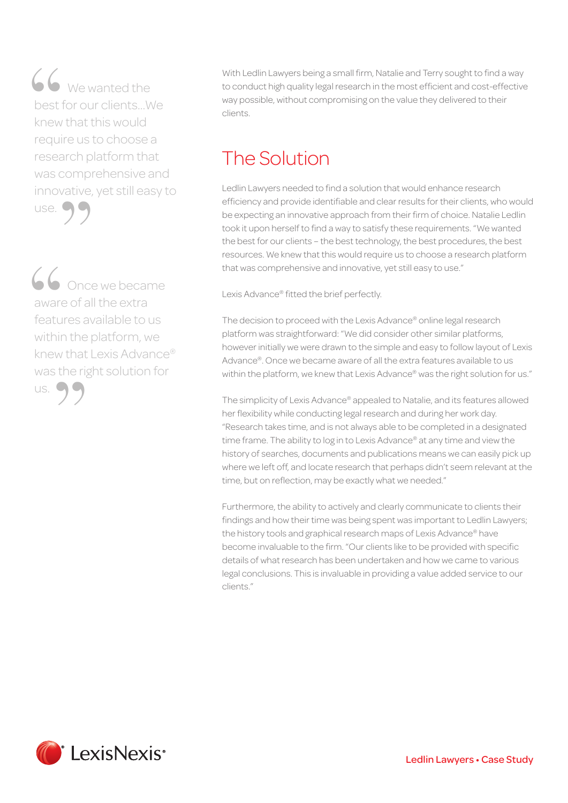$\bullet\ \bullet\ \text{We wanted the}$ best for our clients…We knew that this would require us to choose a research platform that was comprehensive and<br>innovative, yet still easy to<br>use.  $\bigcirc$ innovative, yet still easy to use. 66<br>best f<br>knew<br>requir

O Chice we became aware of all the extra features available to us within the platform, we knew that Lexis Advance® was the right solution for us. 66<br>
aware<br>
featur<br>
within "

With Ledlin Lawyers being a small firm, Natalie and Terry sought to find a way to conduct high quality legal research in the most efficient and cost-effective way possible, without compromising on the value they delivered to their clients.

# The Solution

Ledlin Lawyers needed to find a solution that would enhance research efficiency and provide identifiable and clear results for their clients, who would be expecting an innovative approach from their firm of choice. Natalie Ledlin took it upon herself to find a way to satisfy these requirements. "We wanted the best for our clients – the best technology, the best procedures, the best resources. We knew that this would require us to choose a research platform that was comprehensive and innovative, yet still easy to use."

Lexis Advance® fitted the brief perfectly.

The decision to proceed with the Lexis Advance® online legal research platform was straightforward: "We did consider other similar platforms, however initially we were drawn to the simple and easy to follow layout of Lexis Advance®. Once we became aware of all the extra features available to us within the platform, we knew that Lexis Advance® was the right solution for us."

The simplicity of Lexis Advance® appealed to Natalie, and its features allowed her flexibility while conducting legal research and during her work day. "Research takes time, and is not always able to be completed in a designated time frame. The ability to log in to Lexis Advance® at any time and view the history of searches, documents and publications means we can easily pick up where we left off, and locate research that perhaps didn't seem relevant at the time, but on reflection, may be exactly what we needed."

Furthermore, the ability to actively and clearly communicate to clients their findings and how their time was being spent was important to Ledlin Lawyers; the history tools and graphical research maps of Lexis Advance® have become invaluable to the firm. "Our clients like to be provided with specific details of what research has been undertaken and how we came to various legal conclusions. This is invaluable in providing a value added service to our clients."

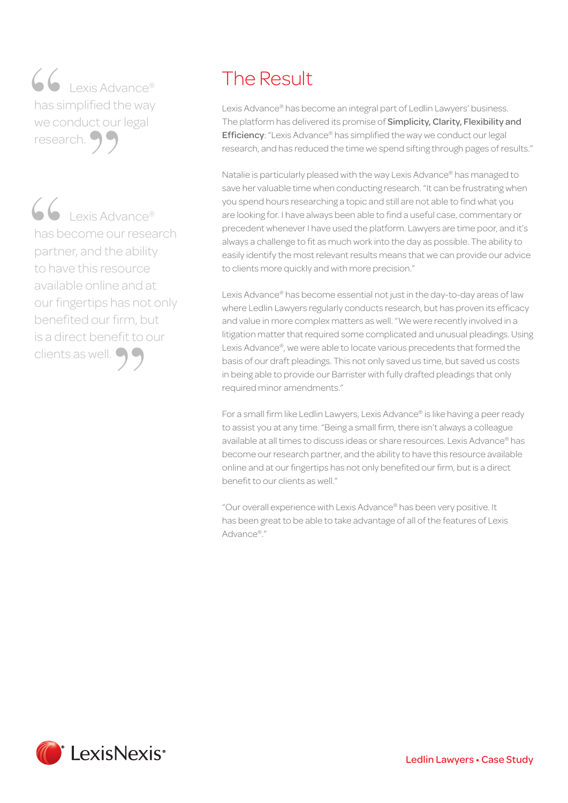■ Lexis Advance® has simplified the way<br>we conduct our legal<br>research. we conduct our legal research. 66<br>has si<br>we cc<br>resea

■ ● Lexis Advance® has become our research partner, and the ability to have this resource available online and at our fingertips has not only benefited our firm, but is a direct benefit to our clients as well.  $\bigcirc$ 66<br>has b<br>partn<br>to hav

## The Result

Lexis Advance® has become an integral part of Ledlin Lawyers' business. The platform has delivered its promise of Simplicity, Clarity, Flexibility and Efficiency: "Lexis Advance® has simplified the way we conduct our legal research, and has reduced the time we spend sifting through pages of results."

Natalie is particularly pleased with the way Lexis Advance® has managed to save her valuable time when conducting research. "It can be frustrating when you spend hours researching a topic and still are not able to find what you are looking for. I have always been able to find a useful case, commentary or precedent whenever I have used the platform. Lawyers are time poor, and it's always a challenge to fit as much work into the day as possible. The ability to easily identify the most relevant results means that we can provide our advice to clients more quickly and with more precision."

Lexis Advance® has become essential not just in the day-to-day areas of law where Ledlin Lawyers regularly conducts research, but has proven its efficacy and value in more complex matters as well. "We were recently involved in a litigation matter that required some complicated and unusual pleadings. Using Lexis Advance®, we were able to locate various precedents that formed the basis of our draft pleadings. This not only saved us time, but saved us costs in being able to provide our Barrister with fully drafted pleadings that only required minor amendments."

For a small firm like Ledlin Lawyers, Lexis Advance® is like having a peer ready to assist you at any time. "Being a small firm, there isn't always a colleague available at all times to discuss ideas or share resources. Lexis Advance® has become our research partner, and the ability to have this resource available online and at our fingertips has not only benefited our firm, but is a direct benefit to our clients as well."

"Our overall experience with Lexis Advance® has been very positive. It has been great to be able to take advantage of all of the features of Lexis Advance®."